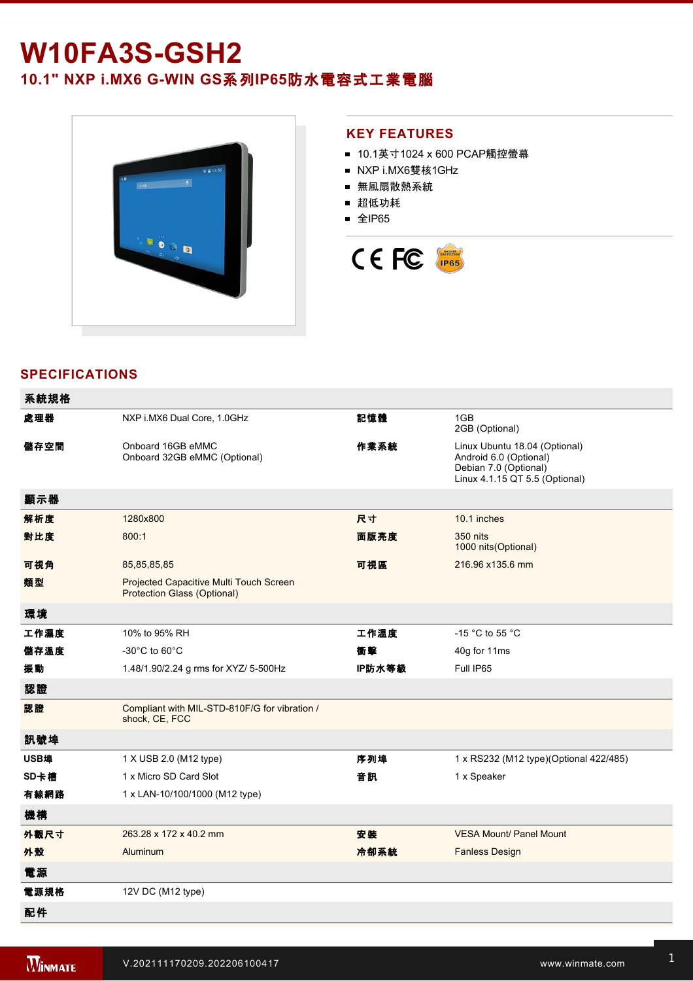# **W10FA3S-GSH2**

**10.1" NXP i.MX6 G-WIN GS系列IP65防水電容式工業電腦** 



#### **KEY FEATURES**

- 10.1英寸1024 x 600 PCAP觸控螢幕
- NXP i.MX6雙核1GHz
- 無風扇散熱系統
- 超低功耗
- 全IP65



## **SPECIFICATIONS**

| 系統規格 |                                                                               |        |                                                                                                                    |
|------|-------------------------------------------------------------------------------|--------|--------------------------------------------------------------------------------------------------------------------|
| 處理器  | NXP i.MX6 Dual Core, 1.0GHz                                                   | 記憶體    | 1GB<br>2GB (Optional)                                                                                              |
| 儲存空間 | Onboard 16GB eMMC<br>Onboard 32GB eMMC (Optional)                             | 作業系統   | Linux Ubuntu 18.04 (Optional)<br>Android 6.0 (Optional)<br>Debian 7.0 (Optional)<br>Linux 4.1.15 QT 5.5 (Optional) |
| 顯示器  |                                                                               |        |                                                                                                                    |
| 解析度  | 1280x800                                                                      | 尺寸     | 10.1 inches                                                                                                        |
| 對比度  | 800:1                                                                         | 面版亮度   | 350 nits<br>1000 nits(Optional)                                                                                    |
| 可視角  | 85,85,85,85                                                                   | 可視區    | 216.96 x135.6 mm                                                                                                   |
| 類型   | Projected Capacitive Multi Touch Screen<br><b>Protection Glass (Optional)</b> |        |                                                                                                                    |
| 環境   |                                                                               |        |                                                                                                                    |
| 工作濕度 | 10% to 95% RH                                                                 | 工作溫度   | -15 $^{\circ}$ C to 55 $^{\circ}$ C                                                                                |
| 儲存溫度 | $-30^{\circ}$ C to 60 $^{\circ}$ C                                            | 衝擊     | 40g for 11ms                                                                                                       |
| 振動   | 1.48/1.90/2.24 g rms for XYZ/ 5-500Hz                                         | IP防水等級 | Full IP65                                                                                                          |
| 認證   |                                                                               |        |                                                                                                                    |
| 認證   | Compliant with MIL-STD-810F/G for vibration /<br>shock, CE, FCC               |        |                                                                                                                    |
| 訊號埠  |                                                                               |        |                                                                                                                    |
| USB埠 | 1 X USB 2.0 (M12 type)                                                        | 序列埠    | 1 x RS232 (M12 type)(Optional 422/485)                                                                             |
| SD卡槽 | 1 x Micro SD Card Slot                                                        | 音訊     | 1 x Speaker                                                                                                        |
| 有線網路 | 1 x LAN-10/100/1000 (M12 type)                                                |        |                                                                                                                    |
| 機構   |                                                                               |        |                                                                                                                    |
| 外觀尺寸 | 263.28 x 172 x 40.2 mm                                                        | 安装     | <b>VESA Mount/ Panel Mount</b>                                                                                     |
| 外殼   | Aluminum                                                                      | 冷卻系統   | <b>Fanless Design</b>                                                                                              |
| 電源   |                                                                               |        |                                                                                                                    |
| 電源規格 | 12V DC (M12 type)                                                             |        |                                                                                                                    |
| 配件   |                                                                               |        |                                                                                                                    |

Driver CD & User Manual